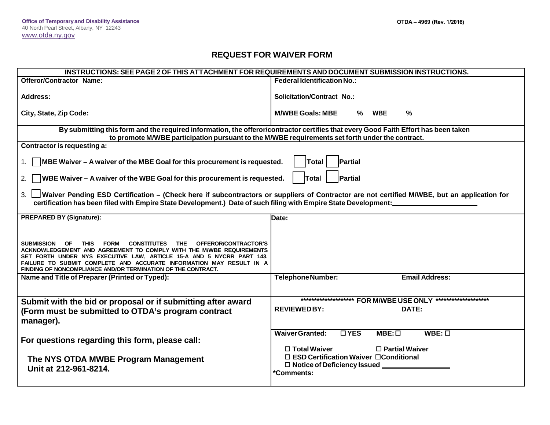## **REQUEST FOR WAIVER FORM**

| INSTRUCTIONS: SEE PAGE 2 OF THIS ATTACHMENT FOR REQUIREMENTS AND DOCUMENT SUBMISSION INSTRUCTIONS.                                                                                                                                                                                                                                                               |                                                                                                                               |
|------------------------------------------------------------------------------------------------------------------------------------------------------------------------------------------------------------------------------------------------------------------------------------------------------------------------------------------------------------------|-------------------------------------------------------------------------------------------------------------------------------|
| <b>Offeror/Contractor Name:</b>                                                                                                                                                                                                                                                                                                                                  | <b>Federal Identification No.:</b>                                                                                            |
| <b>Address:</b>                                                                                                                                                                                                                                                                                                                                                  | <b>Solicitation/Contract No.:</b>                                                                                             |
| City, State, Zip Code:                                                                                                                                                                                                                                                                                                                                           | $\frac{9}{6}$<br><b>M/WBE Goals: MBE</b><br>%<br><b>WBE</b>                                                                   |
| By submitting this form and the required information, the offeror/contractor certifies that every Good Faith Effort has been taken<br>to promote M/WBE participation pursuant to the M/WBE requirements set forth under the contract.                                                                                                                            |                                                                                                                               |
| Contractor is requesting a:                                                                                                                                                                                                                                                                                                                                      |                                                                                                                               |
| $\sqrt{MBE}$ Waiver – A waiver of the MBE Goal for this procurement is requested.<br>Partial<br>Total                                                                                                                                                                                                                                                            |                                                                                                                               |
| Partial<br>$\sqrt{ }$ WBE Waiver – A waiver of the WBE Goal for this procurement is requested.<br>Total<br>2.                                                                                                                                                                                                                                                    |                                                                                                                               |
| Waiver Pending ESD Certification – (Check here if subcontractors or suppliers of Contractor are not certified M/WBE, but an application for<br>certification has been filed with Empire State Development.) Date of such filing with Empire State Development:                                                                                                   |                                                                                                                               |
| <b>PREPARED BY (Signature):</b>                                                                                                                                                                                                                                                                                                                                  | Date:                                                                                                                         |
| SUBMISSION OF THIS<br>CONSTITUTES THE OFFEROR/CONTRACTOR'S<br><b>FORM</b><br>ACKNOWLEDGEMENT AND AGREEMENT TO COMPLY WITH THE M/WBE REQUIREMENTS<br>SET FORTH UNDER NYS EXECUTIVE LAW, ARTICLE 15-A AND 5 NYCRR PART 143.<br>FAILURE TO SUBMIT COMPLETE AND ACCURATE INFORMATION MAY RESULT IN A<br>FINDING OF NONCOMPLIANCE AND/OR TERMINATION OF THE CONTRACT. |                                                                                                                               |
| Name and Title of Preparer (Printed or Typed):                                                                                                                                                                                                                                                                                                                   | <b>Email Address:</b><br><b>TelephoneNumber:</b>                                                                              |
|                                                                                                                                                                                                                                                                                                                                                                  |                                                                                                                               |
| Submit with the bid or proposal or if submitting after award                                                                                                                                                                                                                                                                                                     | ********************* FOR M/WBE USE ONLY *********************                                                                |
| (Form must be submitted to OTDA's program contract<br>manager).                                                                                                                                                                                                                                                                                                  | <b>REVIEWEDBY:</b><br>DATE:                                                                                                   |
| For questions regarding this form, please call:                                                                                                                                                                                                                                                                                                                  | <b>Waiver Granted:</b><br>$\overline{\Box YES}$<br>$MBE: \Box$<br>$WBE: \Box$<br>$\Box$ Total Waiver<br>$\Box$ Partial Waiver |
| The NYS OTDA MWBE Program Management<br>Unit at 212-961-8214.                                                                                                                                                                                                                                                                                                    | $\Box$ ESD Certification Waiver $\Box$ Conditional<br>□ Notice of Deficiency Issued ____________<br>*Comments:                |